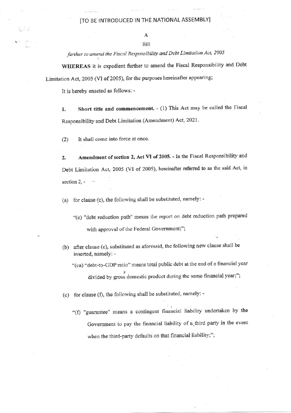## [TO BE INTRODUCED IN THE NATIONAL ASSEMBLY]

further to amend the Fiscal Responsibility and Debt Limitation Act, 2005

WHEREAS it is expedient further to amend the Fiscal Responsibility and Debt Limitation Act, 2005 (VI of 2005), for the purposes hereinafter appearing;

It is hereby enacted as follows: -

Short title and commencement. - (1) This Act may be called the Fiscal 1. Responsibility and Debt Limitation (Amendment) Act, 2021.

 $(2)$ It shall come into force at once.

Amendment of section 2, Act VI of 2005. - In the Fiscal Responsibility and 2. Debt Limitation Act, 2005 (VI of 2005), hereinafter referred to as the said Act, in section  $2, -$ 

(a) for clause (c), the following shall be substituted, namely: -

"(c) "debt reduction path" means the report on debt reduction path prepared with approval of the Federal Government;";

- (b) after clause (c), substituted as aforesaid, the following new clause shall be inserted, namely: -
	- "(ca) "debt-to-GDP ratio" means total public debt at the end of a financial year divided by gross domestic product during the same financial year;";
- (c) for clause (f), the following shall be substituted, namely: -
	- "(f) "guarantee" means a contingent financial liability undertaken by the Government to pay the financial liability of a third party in the event when the third-party defaults on that financial liability;";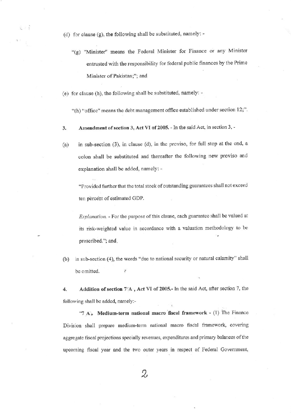- (d) for clause (g), the following shall be substituted, namely: -
	- "(g) "Minister" means the Federal Minister for Finance or any Minister entrusted with the responsibility for federal public finances by the Prime Minister of Pakistan;"; and
- (e) for clause (h), the following shall be substituted, namely: -

"(h) "office" means the debt management office established under section 12;".

- Amendment of section 3, Act VI of 2005. In the said Act, in section 3, -3.
- in sub-section (3), in clause (d), in the proviso, for full stop at the end, a  $(a)$ colon shall be substituted and thereafter the following new proviso and explanation shall be added, namely: -

"Provided further that the total stock of outstanding guarantees shall not exceed ten percent of estimated GDP.

Explanation. - For the purpose of this clause, each guarantee shall be valued at its risk-weighted value in accordance with a valuation methodology to be prescribed."; and.

in sub-section (4), the words "due to national security or natural calamity" shall  $(b)$ be omitted. y

Addition of section 7/A, Act VI of 2005.- In the said Act, after section 7, the 4. following shall be added, namely:-

"7  $A_{\phi}$  Medium-term national macro fiscal framework - (1) The Finance Division shall prepare medium-term national macro fiscal framework, covering aggregate fiscal projections specially revenues, expenditures and primary balances of the upcoming fiscal year and the two outer years in respect of Federal Government,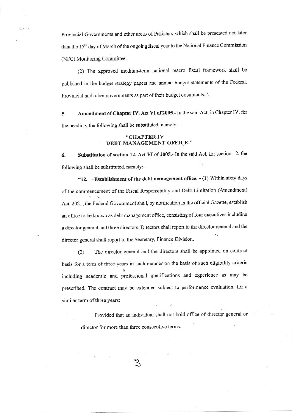Provincial Governments and other areas of Pakistan; which shall be presented not later than the 15<sup>th</sup> day of March of the ongoing fiscal year to the National Finance Commission (NFC) Monitoring Committee.

(2) The approved medium-term national macro fiscal framework shall be published in the budget strategy papers and annual budget statements of the Federal, Provincial and other governments as part of their budget documents.".

Amendment of Chapter IV, Act VI of 2005.- In the said Act, in Chapter IV, for 5. the heading, the following shall be substituted, namely: -

## "CHAPTER IV DEBT MANAGEMENT OFFICE."

Substitution of section 12, Act VI of 2005.- In the said Act, for section 12, the 6. following shall be substituted, namely: -

"12. - Establishment of the debt management office. - (1) Within sixty days of the commencement of the Fiscal Responsibility and Debt Limitation (Amendment) Act, 2021, the Federal Government shall, by notification in the official Gazette, establish an office to be known as debt management office, consisting of four executives including a director general and three directors. Directors shall report to the director general and the director general shall report to the Secretary, Finance Division.

The director general and the directors shall be appointed on contract  $(2)$ basis for a term of three years in such manner on the basis of such eligibility criteria including academic and professional qualifications and experience as may be prescribed. The contract may be extended subject to performance evaluation, for a similar term of three years:

> Provided that an individual shall not hold office of director general or director for more than three consecutive terms.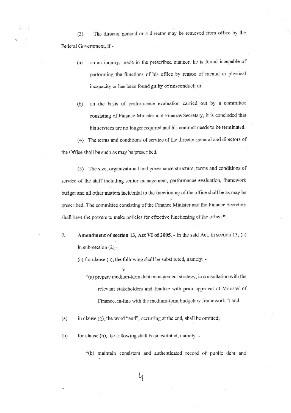The director general or a director may be removed from office by the  $(3)$ Federal Government, if -

- on an inquiry, made in the prescribed manner, he is found incapable of  $(a)$ performing the functions of his office by reason of mental or physical incapacity or has been found guilty of misconduct; or
- on the basis of performance evaluation carried out by a committee  $(b)$ consisting of Finance Minister and Finance Secretary, it is concluded that his services are no longer required and his contract needs to be terminated.

(4) The terms and conditions of service of the director general and directors of the Office shall be such as may be prescribed.

(5) The size, organizational and governance structure, terms and conditions of service of the staff including senior management, performance evaluation, framework budget and all other matters incidental to the functioning of the office shall be as may be prescribed. The committee consisting of the Finance Minister and the Finance Secretary shall have the powers to make policies for effective functioning of the office.".

7. Amendment of section 13, Act VI of 2005. - In the said Act, in section 13, (a) in sub-section  $(2)$ ,-

(a) for clause (a), the following shall be substituted, namely: -

٠,

"(a) prepare medium-term debt management strategy, in consultation with the relevant stakeholders and finalize with prior approval of Minister of Finance, in-line with the medium-term budgetary framework;"; and

in clause (g), the word "and", occurring at the end, shall be omitted;  $(a)$ 

for clause (h), the following shall be substituted, namely: - $(b)$ 

"(h) maintain consistent and authenticated record of public debt and

4